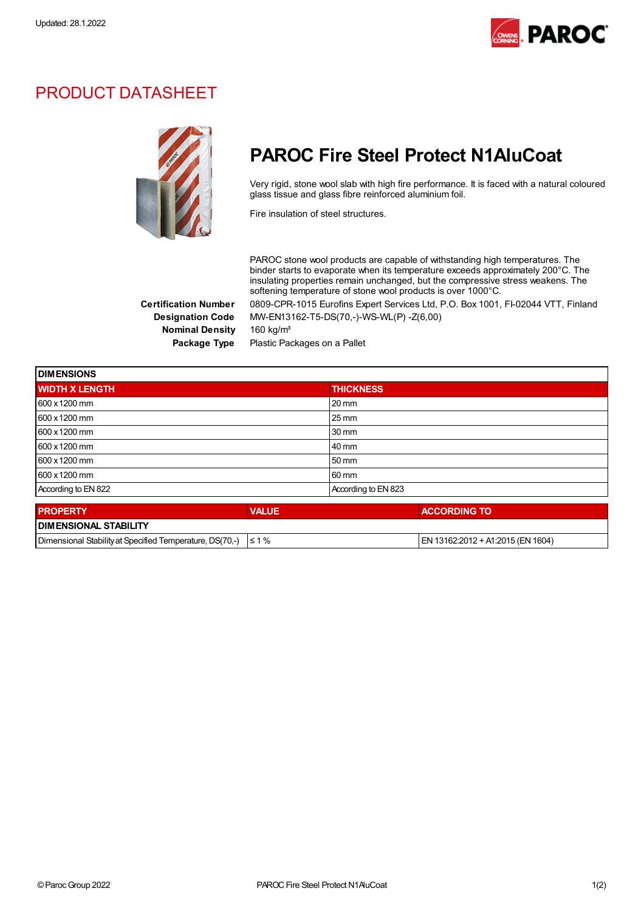

## PRODUCT DATASHEET



## PAROC Fire Steel Protect N1AluCoat

Very rigid, stone wool slab with high fire performance. It is faced with a natural coloured glass tissue and glass fibre reinforced aluminium foil.

Fire insulation of steel structures.

PAROC stone wool products are capable of withstanding high temperatures. The binder starts to evaporate when its temperature exceeds approximately 200°C. The insulating properties remain unchanged, but the compressive stress weakens. The softening temperature of stone wool products is over 1000°C.

Certification Number 0809-CPR-1015 Eurofins Expert Services Ltd, P.O. Box 1001, FI-02044 VTT, Finland Designation Code MW-EN13162-T5-DS(70,-)-WS-WL(P) -Z(6,00)

Nominal Density 160 kg/m<sup>3</sup>

Package Type Plastic Packages on a Pallet

| <b>DIMENSIONS</b>     |              |                     |  |
|-----------------------|--------------|---------------------|--|
| <b>WIDTH X LENGTH</b> |              | <b>THICKNESS</b>    |  |
| 600 x 1200 mm         |              | $20 \text{ mm}$     |  |
| 600 x 1200 mm         |              | $25 \,\mathrm{mm}$  |  |
| 600 x 1200 mm         |              | $30 \text{ mm}$     |  |
| 600 x 1200 mm         |              | 40 mm               |  |
| 600 x 1200 mm         |              | 50 mm               |  |
| 600 x 1200 mm         |              | 60 mm               |  |
| According to EN 822   |              | According to EN 823 |  |
| <b>PROPERTY</b>       | <b>VALUE</b> | <b>ACCORDING TO</b> |  |

| <b>PROPERTY</b>                                                     | <b>/ALUI</b> | <b>ACCORDING TO</b>                |  |  |
|---------------------------------------------------------------------|--------------|------------------------------------|--|--|
| <b>I DIMENSIONAL STABILITY</b>                                      |              |                                    |  |  |
| Dimensional Stability at Specified Temperature, DS(70.-) $\leq 1\%$ |              | IEN 13162:2012 + A1:2015 (EN 1604) |  |  |